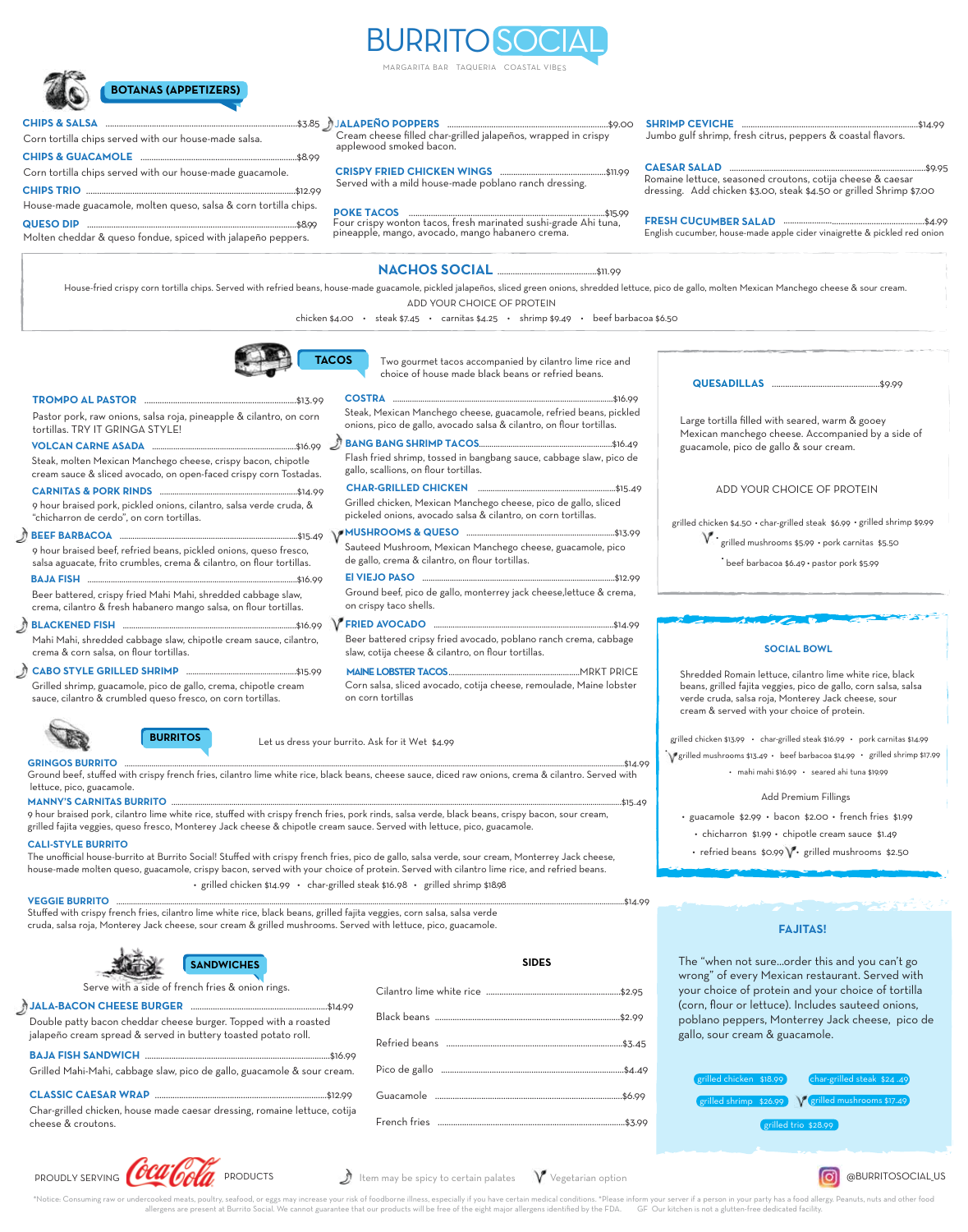

MARGARITA BAR TAQUERIA COASTAL VIBES



Corn tortilla chips served with our house-made salsa.

**CHIPS & SALSA** 

### J**ALAPENO POPPERS** .........................................................................\$9.00 **˜**

Cream cheese filled char-grilled jalapeños, wrapped in crispy applewood smoked bacon.

**CHIPS TRIO** ...............................................................................................\$12.99 House-made guacamole, molten queso, salsa & corn tortilla chips. **CHIPS & GUACAMOLE** .......................................................................\$8.99 Corn tortilla chips served with our house-made guacamole.

**QUESO DIP** ...............................................................................................\$8.99

Molten cheddar & queso fondue, spiced with jalapeño peppers.

## **POKE TACOS** .........................................................................................\$15.99 Served with a mild house-made poblano ranch dressing.

Four crispy wonton tacos, fresh marinated sushi-grade Ahi tuna, pineapple, mango, avocado, mango habanero crema.

**CRISPY FRIED CHICKEN WINGS** ................................................\$11.99

Jumbo gulf shrimp, fresh citrus, peppers & coastal flavors.

**CAESAR SALAD** .........................................................................................\$9.95 Romaine lettuce, seasoned croutons, cotija cheese & caesar dressing. Add chicken \$3.00, steak \$4.50 or grilled Shrimp \$7.00

**SHRIMP CEVICHE** ................................................................................\$14.99

**FRESH CUCUMBER SALAD** ................................................................\$4.99 English cucumber, house-made apple cider vinaigrette & pickled red onion

ADD YOUR CHOICE OF PROTEIN House-fried crispy corn tortilla chips. Served with refried beans, house-made guacamole, pickled jalapeños, sliced green onions, shredded lettuce, pico de gallo, molten Mexican Manchego cheese & sour cream.

chicken \$4.00 • steak \$7.45 • carnitas \$4.25 • shrimp \$9.49 • beef barbacoa \$6.50

**NACHOS SOCIAL** .............................................\$11.99



Two gourmet tacos accompanied by cilantro lime rice and choice of house made black beans or refried beans.

| Pastor pork, raw onions, salsa roja, pineapple & cilantro, on corn<br>tortillas. TRY IT GRINGA STYLE!                                      | Steak, Mexican Manchego cheese, guacamole, refried beans, pickled<br>onions, pico de gallo, avocado salsa & cilantro, on flour tortillas. |  |
|--------------------------------------------------------------------------------------------------------------------------------------------|-------------------------------------------------------------------------------------------------------------------------------------------|--|
|                                                                                                                                            |                                                                                                                                           |  |
| Steak, molten Mexican Manchego cheese, crispy bacon, chipotle<br>cream sauce & sliced avocado, on open-faced crispy corn Tostadas.         | Flash fried shrimp, tossed in bangbang sauce, cabbage slaw, pico de<br>gallo, scallions, on flour tortillas.                              |  |
|                                                                                                                                            |                                                                                                                                           |  |
| 9 hour braised pork, pickled onions, cilantro, salsa verde cruda, &<br>"chicharron de cerdo", on corn tortillas.                           | Grilled chicken, Mexican Manchego cheese, pico de gallo, sliced<br>pickeled onions, avocado salsa & cilantro, on corn tortillas.          |  |
|                                                                                                                                            |                                                                                                                                           |  |
| 9 hour braised beef, refried beans, pickled onions, queso fresco,<br>salsa aguacate, frito crumbles, crema & cilantro, on flour tortillas. | Sauteed Mushroom, Mexican Manchego cheese, guacamole, pico<br>de gallo, crema & cilantro, on flour tortillas.                             |  |
|                                                                                                                                            |                                                                                                                                           |  |
| Beer battered, crispy fried Mahi Mahi, shredded cabbage slaw,<br>crema, cilantro & fresh habanero mango salsa, on flour tortillas.         | Ground beef, pico de gallo, monterrey jack cheese, lettuce & crema,<br>on crispy taco shells.                                             |  |
|                                                                                                                                            |                                                                                                                                           |  |
| Mahi Mahi, shredded cabbage slaw, chipotle cream sauce, cilantro,<br>crema & corn salsa, on flour tortillas.                               | Beer battered cripsy fried avocado, poblano ranch crema, cabbage<br>slaw, cotija cheese & cilantro, on flour tortillas.                   |  |
|                                                                                                                                            |                                                                                                                                           |  |
| Grilled shrimp, guacamole, pico de gallo, crema, chipotle cream<br>sauce, cilantro & crumbled queso fresco, on corn tortillas.             | Corn salsa, sliced avocado, cotija cheese, remoulade, Maine lobster<br>on corn tortillas                                                  |  |



Let us dress your burrito. Ask for it Wet \$4.99

Ground beef, stuffed with crispy french fries, cilantro lime white rice, black beans, cheese sauce, diced raw onions, crema & cilantro. Served with lettuce, pico, guacamole. **GRINGOS BURRITO** ..................................................................................................................................................................................................................................................\$14.99

#### **MANNY'S CARNITAS BURRITO** ..........................................................................................................................................................................................................................\$15.49

9 hour braised pork, cilantro lime white rice, stuffed with crispy french fries, pork rinds, salsa verde, black beans, crispy bacon, sour cream, grilled fajita veggies, queso fresco, Monterey Jack cheese & chipotle cream sauce. Served with lettuce, pico, guacamole.

### **CALI-STYLE BURRITO**

The unofficial house-burrito at Burrito Social! Stuffed with crispy french fries, pico de gallo, salsa verde, sour cream, Monterrey Jack cheese, house-made molten queso, guacamole, crispy bacon, served with your choice of protein. Served with cilantro lime rice, and refried beans. • grilled chicken \$14.99 • char-grilled steak \$16.98 • grilled shrimp \$18.98

#### VEGGIE BURRITO

Stuffed with crispy french fries, cilantro lime white rice, black beans, grilled fajita veggies, corn salsa, salsa verde cruda, salsa roja, Monterey Jack cheese, sour cream & grilled mushrooms. Served with lettuce, pico, guacamole.

| <b>SANDV</b> |
|--------------|
|              |

**BURRITOS**

| Serve with a side of french fries & onion rings.                                                                                  |  |
|-----------------------------------------------------------------------------------------------------------------------------------|--|
|                                                                                                                                   |  |
| Double patty bacon cheddar cheese burger. Topped with a roasted<br>jalapeño cream spread & served in buttery toasted potato roll. |  |
|                                                                                                                                   |  |
| Grilled Mahi-Mahi, cabbage slaw, pico de gallo, guacamole & sour cream.                                                           |  |

## **CLASSIC CAESAR WRAP** ..............................................................................\$12.99

Char-grilled chicken, house made caesar dressing, romaine lettuce, cotija cheese & croutons.

| <b>SANDWICHES</b>                                                                                                                                                                                                              | <b>SIDES</b> |
|--------------------------------------------------------------------------------------------------------------------------------------------------------------------------------------------------------------------------------|--------------|
| and the set of the set of the set of the set of the set of the set of the set of the set of the set of the set of the set of the set of the set of the set of the set of the set of the set of the set of the set of the set o |              |
| burger. Topped with a roasted                                                                                                                                                                                                  |              |
| outtery toasted potato roll.                                                                                                                                                                                                   |              |
| co de gallo, guacamole & sour cream.                                                                                                                                                                                           |              |
|                                                                                                                                                                                                                                |              |
| esar dressing, romaine lettuce, cotija                                                                                                                                                                                         |              |

**QUESADILLAS** .................................................\$9.99

Large tortilla filled with seared, warm & gooey Mexican manchego cheese. Accompanied by a side of guacamole, pico de gallo & sour cream.

ADD YOUR CHOICE OF PROTEIN

grilled chicken \$4.50 • char-grilled steak \$6.99 • grilled shrimp \$9.99

\* grilled mushrooms \$5.99 · pork carnitas \$5.50

•<br>beef barbacoa \$6.49 • pastor pork \$5.99 •

#### **SOCIAL BOWL**

Shredded Romain lettuce, cilantro lime white rice, black beans, grilled fajita veggies, pico de gallo, corn salsa, salsa verde cruda, salsa roja, Monterey Jack cheese, sour cream & served with your choice of protein.

• grilled mushrooms \$13.49 • beef barbacoa \$14.99 • grilled shrimp \$17.99 grilled chicken \$13.99 • char-grilled steak \$16.99 • pork carnitas \$14.99 • mahi mahi \$16.99 • seared ahi tuna \$19.99

#### Add Premium Fillings

- guacamole \$2.99 bacon \$2.00 french fries \$1.99 • chicharron \$1.99 • chipotle cream sauce \$1.49
	- refried beans \$0.99  $\mathsf{V}\cdot$  grilled mushrooms \$2.50

### **FAJITAS!**

The "when not sure...order this and you can't go wrong" of every Mexican restaurant. Served with your choice of protein and your choice of tortilla (corn, flour or lettuce). Includes sauteed onions, poblano peppers, Monterrey Jack cheese, pico de gallo, sour cream & guacamole.

| grilled chicken \$18.99) | (char-grilled steak \$24.49)                      |
|--------------------------|---------------------------------------------------|
|                          | grilled shrimp \$26.99 Warilled mushrooms \$17.49 |
|                          | grilled trio \$28.99                              |
|                          |                                                   |

**O**BURRITOSOCIAL US



 $\bigcup$  Item may be spicy to certain palates  $\quad$   $\mathsf{V}\!\!$  Vegetarian option

\*Notice: Consuming raw or undercooked meats, poultry, seafood, or eggs may increase your risk of foodborne illness, especially if you have certain medical conditions. \*Please inform your server if a person in your party ha allergens are present at Burrito Social. We cannot guarantee that our products will be free of the eight major allergens identified by the FDA. GF Our kitchen is not a glutten-free dedicated facility.